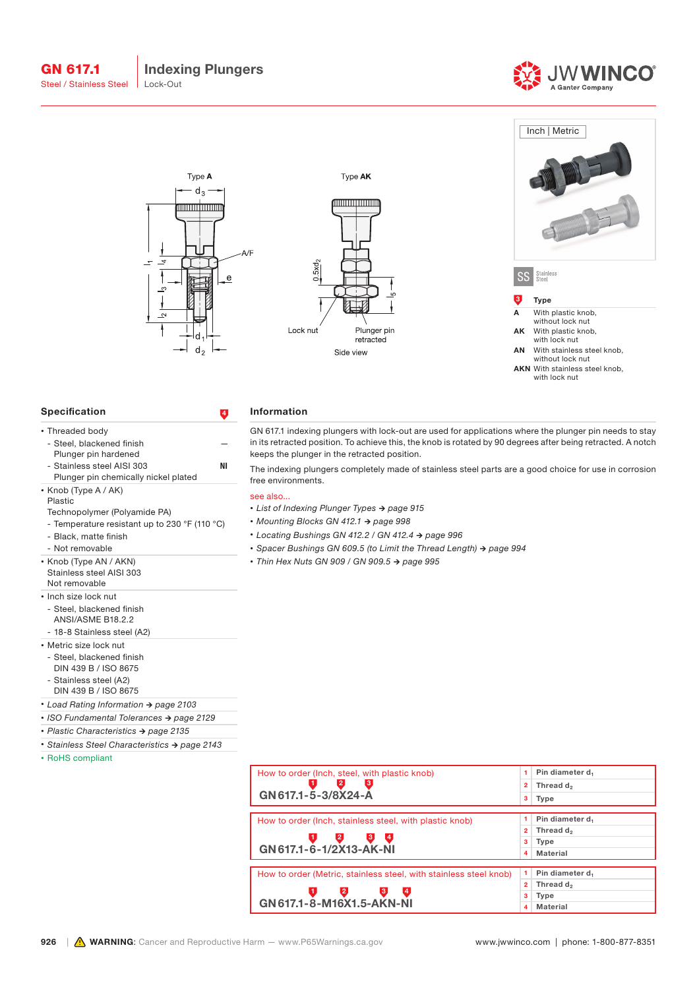



### Specification 4

• Knob (Type A / AK)

- Black, matte finish - Not removable • Knob (Type AN / AKN) Stainless steel AISI 303

Plastic

- Steel, blackened finish Plunger pin hardened

- Stainless steel AISI 303 Plunger pin chemically nickel plated

- Temperature resistant up to 230 °F (110 °C)

• Threaded body

### Information

GN 617.1 indexing plungers with lock-out are used for applications where the plunger pin needs to stay in its retracted position. To achieve this, the knob is rotated by 90 degrees after being retracted. A notch keeps the plunger in the retracted position.

The indexing plungers completely made of stainless steel parts are a good choice for use in corrosion free environments.

#### see also...

- *• List of Indexing Plunger Types → page 915*
- *• Mounting Blocks GN 412.1 → page 998*
- *• Locating Bushings GN 412.2 / GN 412.4 → page 996*
- *• Spacer Bushings GN 609.5 (to Limit the Thread Length) → page 994*
- *• Thin Hex Nuts GN 909 / GN 909.5 → page 995*

| Not removable                                                                                                                                                                                                                                                                                                                                                                        |
|--------------------------------------------------------------------------------------------------------------------------------------------------------------------------------------------------------------------------------------------------------------------------------------------------------------------------------------------------------------------------------------|
| • Inch size lock nut                                                                                                                                                                                                                                                                                                                                                                 |
| - Steel, blackened finish                                                                                                                                                                                                                                                                                                                                                            |
| ANSI/ASME B18.2.2                                                                                                                                                                                                                                                                                                                                                                    |
| $\overline{a}$ $\overline{a}$ $\overline{b}$ $\overline{a}$ $\overline{b}$ $\overline{a}$ $\overline{a}$ $\overline{b}$ $\overline{a}$ $\overline{a}$ $\overline{b}$ $\overline{a}$ $\overline{a}$ $\overline{b}$ $\overline{a}$ $\overline{b}$ $\overline{a}$ $\overline{b}$ $\overline{a}$ $\overline{b}$ $\overline{a}$ $\overline{b}$ $\overline{a}$ $\overline{b}$ $\overline{$ |

Technopolymer (Polyamide PA)

- 18-8 Stainless steel (A2)
- Metric size lock nut - Steel, blackened finish DIN 439 B / ISO 8675 - Stainless steel (A2)
- DIN 439 B / ISO 8675
- *• Load Rating Information → page 2103*
- *• ISO Fundamental Tolerances → page 2129*
- *• Plastic Characteristics → page 2135*
- *• Stainless Steel Characteristics → page 2143*
- RoHS compliant

| How to order (Inch, steel, with plastic knob)                     | 1.             | Pin diameter d.             |
|-------------------------------------------------------------------|----------------|-----------------------------|
| 2<br>3                                                            | $\overline{2}$ | Thread d <sub>2</sub>       |
| GN 617.1-5-3/8X24-A                                               | з              | Type                        |
|                                                                   |                |                             |
| How to order (Inch, stainless steel, with plastic knob)           |                | Pin diameter d              |
|                                                                   | $\mathbf{2}$   | Thread d <sub>2</sub>       |
| 2,<br>3.<br>.1.<br>$\overline{.4}$                                | з              | Type                        |
| GN 617.1-6-1/2X13-AK-NI                                           | 4              | <b>Material</b>             |
|                                                                   |                |                             |
| How to order (Metric, stainless steel, with stainless steel knob) | 1              | Pin diameter d <sub>1</sub> |
|                                                                   | $\overline{2}$ | Thread $d_2$                |
| 2,<br>3<br>.1.<br>$\overline{A}$                                  | з              | Type                        |
| GN 617.1-8-M16X1.5-AKN-NI                                         | 4              | <b>Material</b>             |